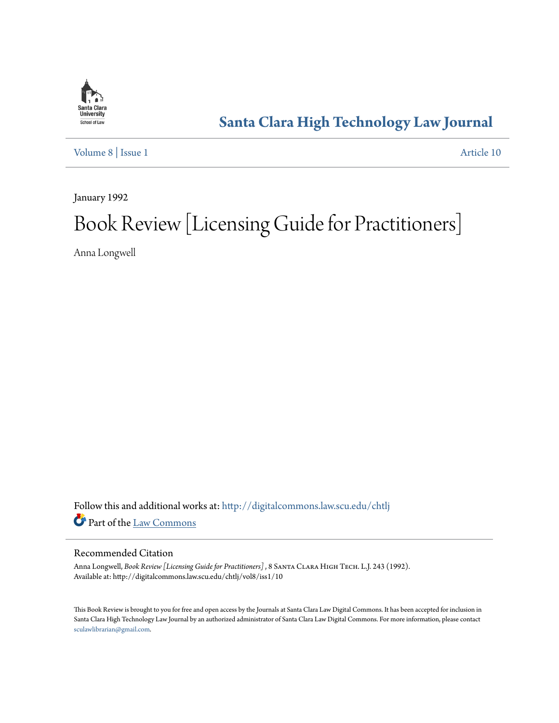

# **[Santa Clara High Technology Law Journal](http://digitalcommons.law.scu.edu/chtlj?utm_source=digitalcommons.law.scu.edu%2Fchtlj%2Fvol8%2Fiss1%2F10&utm_medium=PDF&utm_campaign=PDFCoverPages)**

[Volume 8](http://digitalcommons.law.scu.edu/chtlj/vol8?utm_source=digitalcommons.law.scu.edu%2Fchtlj%2Fvol8%2Fiss1%2F10&utm_medium=PDF&utm_campaign=PDFCoverPages) | [Issue 1](http://digitalcommons.law.scu.edu/chtlj/vol8/iss1?utm_source=digitalcommons.law.scu.edu%2Fchtlj%2Fvol8%2Fiss1%2F10&utm_medium=PDF&utm_campaign=PDFCoverPages) [Article 10](http://digitalcommons.law.scu.edu/chtlj/vol8/iss1/10?utm_source=digitalcommons.law.scu.edu%2Fchtlj%2Fvol8%2Fiss1%2F10&utm_medium=PDF&utm_campaign=PDFCoverPages)

January 1992

# Book Review [Licensing Guide for Practitioners]

Anna Longwell

Follow this and additional works at: [http://digitalcommons.law.scu.edu/chtlj](http://digitalcommons.law.scu.edu/chtlj?utm_source=digitalcommons.law.scu.edu%2Fchtlj%2Fvol8%2Fiss1%2F10&utm_medium=PDF&utm_campaign=PDFCoverPages) Part of the [Law Commons](http://network.bepress.com/hgg/discipline/578?utm_source=digitalcommons.law.scu.edu%2Fchtlj%2Fvol8%2Fiss1%2F10&utm_medium=PDF&utm_campaign=PDFCoverPages)

# Recommended Citation

Anna Longwell, *Book Review [Licensing Guide for Practitioners]* , 8 Santa Clara High Tech. L.J. 243 (1992). Available at: http://digitalcommons.law.scu.edu/chtlj/vol8/iss1/10

This Book Review is brought to you for free and open access by the Journals at Santa Clara Law Digital Commons. It has been accepted for inclusion in Santa Clara High Technology Law Journal by an authorized administrator of Santa Clara Law Digital Commons. For more information, please contact [sculawlibrarian@gmail.com](mailto:sculawlibrarian@gmail.com).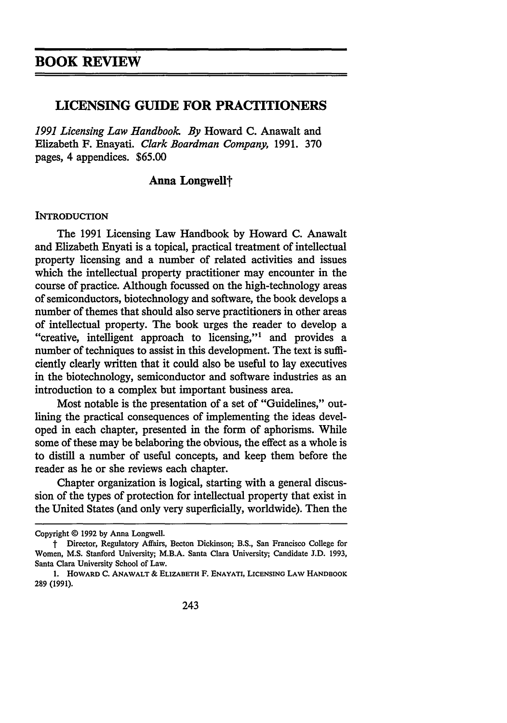# **LICENSING GUIDE FOR PRACTITIONERS**

*1991 Licensing Law Handbook By* Howard **C.** Anawalt and Elizabeth F. Enayati. *Clark Boardman Company,* 1991. 370 pages, 4 appendices. \$65.00

# Anna Longwell<sup>†</sup>

#### **INTRODUCTION**

The **1991** Licensing Law Handbook **by** Howard **C.** Anawalt and Elizabeth Enyati is a topical, practical treatment of intellectual property licensing and a number of related activities and issues which the intellectual property practitioner may encounter in the course of practice. Although focussed on the high-technology areas of semiconductors, biotechnology and software, the book develops a number of themes that should also serve practitioners in other areas of intellectual property. The book urges the reader to develop a "creative, intelligent approach to licensing,"1 and provides a number of techniques to assist in this development. The text is sufficiently clearly written that it could also be useful to lay executives in the biotechnology, semiconductor and software industries as an introduction to a complex but important business area.

Most notable is the presentation of a set of "Guidelines," outlining the practical consequences of implementing the ideas developed in each chapter, presented in the form of aphorisms. While some of these may be belaboring the obvious, the effect as a whole is to distill a number of useful concepts, and keep them before the reader as he or she reviews each chapter.

Chapter organization is logical, starting with a general discussion of the types of protection for intellectual property that exist in the United States (and only very superficially, worldwide). Then the

Copyright *©* **1992 by** Anna Longwell.

t Director, Regulatory Affairs, Becton Dickinson; B.S., San Francisco College for Women, M.S. Stanford University; M.B.A. Santa Clara University; Candidate J.D. 1993, Santa Clara University School of Law.

**<sup>1.</sup>** HOWARD **C. ANAWALT** & **ELIZABETH** F. **ENAYATI, LICENSING LAW HANDBOOK 289 (1991).**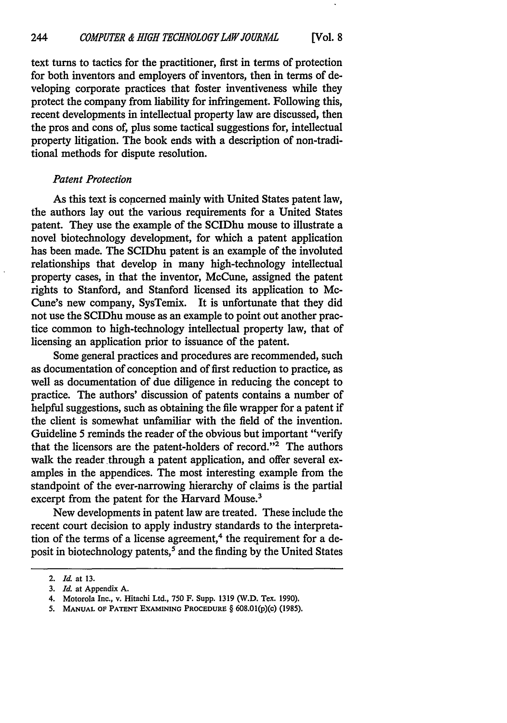text turns to tactics for the practitioner, first in terms of protection for both inventors and employers of inventors, then in terms of developing corporate practices that foster inventiveness while they protect the company from liability for infringement. Following this, recent developments in intellectual property law are discussed, then the pros and cons of, plus some tactical suggestions for, intellectual property litigation. The book ends with a description of non-traditional methods for dispute resolution.

#### *Patent Protection*

As this text is concerned mainly with United States patent law, the authors lay out the various requirements for a United States patent. They use the example of the SCIDhu mouse to illustrate a novel biotechnology development, for which a patent application has been made. The SCIDhu patent is an example of the involuted relationships that develop in many high-technology intellectual property cases, in that the inventor, McCune, assigned the patent rights to Stanford, and Stanford licensed its application to Mc-Cune's new company, SysTemix. It is unfortunate that they did not use the SCIDhu mouse as an example to point out another practice common to high-technology intellectual property law, that of licensing an application prior to issuance of the patent.

Some general practices and procedures are recommended, such as documentation of conception and of first reduction to practice, as well as documentation of due diligence in reducing the concept to practice. The authors' discussion of patents contains a number of helpful suggestions, such as obtaining the file wrapper for a patent if the client is somewhat unfamiliar with the field of the invention. Guideline 5 reminds the reader of the obvious but important "verify that the licensors are the patent-holders of record."2 The authors walk the reader through a patent application, and offer several examples in the appendices. The most interesting example from the standpoint of the ever-narrowing hierarchy of claims is the partial excerpt from the patent for the Harvard Mouse.<sup>3</sup>

New developments in patent law are treated. These include the recent court decision to apply industry standards to the interpretation of the terms of a license agreement,<sup>4</sup> the requirement for a deposit in biotechnology patents,<sup>5</sup> and the finding by the United States

<sup>2.</sup> *Id.* at **13.**

*<sup>3.</sup> Id.* at Appendix A.

<sup>4.</sup> Motorola Inc., v. Hitachi Ltd., 750 F. Supp. 1319 (W.D. Tex. 1990).

**<sup>5.</sup> MANUAL OF PATENT EXAMINING PROCEDURE** § 608.01(p)(c) (1985).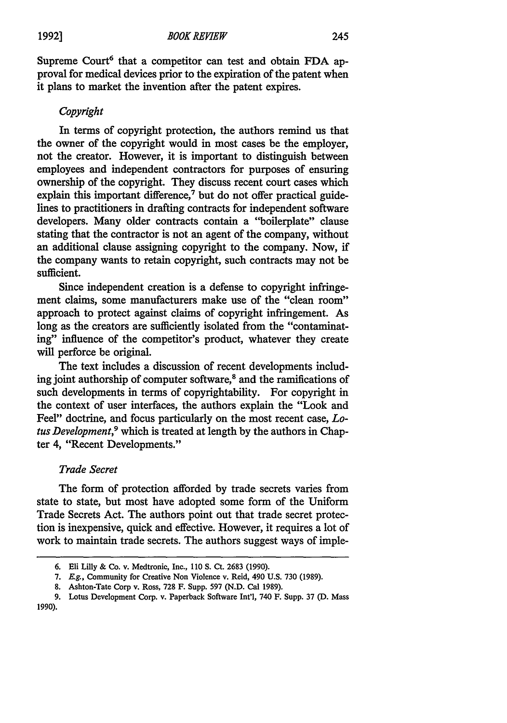Supreme Court<sup>6</sup> that a competitor can test and obtain FDA approval for medical devices prior to the expiration of the patent when it plans to market the invention after the patent expires.

#### *Copyright*

In terms of copyright protection, the authors remind us that the owner of the copyright would in most cases be the employer, not the creator. However, it is important to distinguish between employees and independent contractors for purposes of ensuring ownership of the copyright. They discuss recent court cases which explain this important difference,<sup>7</sup> but do not offer practical guidelines to practitioners in drafting contracts for independent software developers. Many older contracts contain a "boilerplate" clause stating that the contractor is not an agent of the company, without an additional clause assigning copyright to the company. Now, if the company wants to retain copyright, such contracts may not be sufficient.

Since independent creation is a defense to copyright infringement claims, some manufacturers make use of the "clean room" approach to protect against claims of copyright infringement. As long as the creators are sufficiently isolated from the "contaminating" influence of the competitor's product, whatever they create will perforce be original.

The text includes a discussion of recent developments including joint authorship of computer software,<sup>8</sup> and the ramifications of such developments in terms of copyrightability. For copyright in the context of user interfaces, the authors explain the "Look and Feel" doctrine, and focus particularly on the most recent case, *Lotus Development,9* which is treated at length **by** the authors in Chapter 4, "Recent Developments."

# *Trade Secret*

The form of protection afforded **by** trade secrets varies from state to state, but most have adopted some form of the Uniform Trade Secrets Act. The authors point out that trade secret protection is inexpensive, quick and effective. However, it requires a lot of work to maintain trade secrets. The authors suggest ways of imple-

**<sup>6.</sup>** Eli Lilly & Co. v. Medtronic, Inc., **110 S.** Ct. **2683 (1990).**

**<sup>7.</sup> E.g.,** Community for Creative Non Violence v. Reid, 490 **U.S. 730 (1989).**

**<sup>8.</sup>** Ashton-Tate Corp v. Ross, **728** F. Supp. **597 (N.D.** Cal **1989).**

**<sup>9.</sup>** Lotus Development Corp. v. Paperback Software Int'l, 740 F. Supp. **37 (D.** Mass 1990).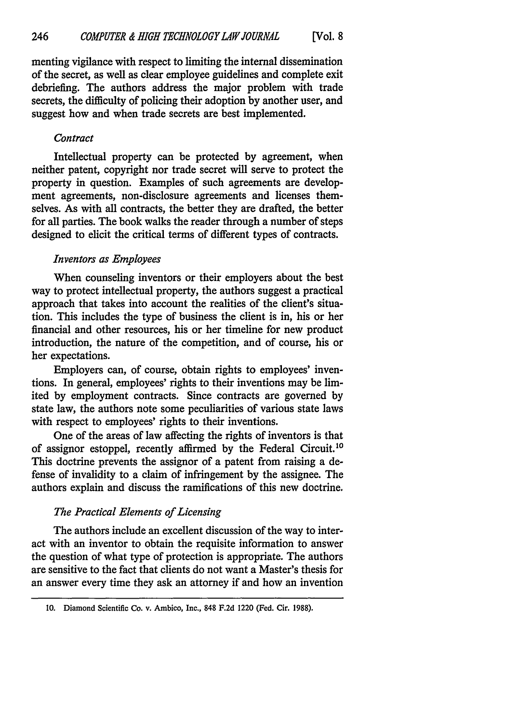menting vigilance with respect to limiting the internal dissemination of the secret, as well as clear employee guidelines and complete exit debriefing. The authors address the major problem with trade secrets, the difficulty of policing their adoption by another user, and suggest how and when trade secrets are best implemented.

# *Contract*

Intellectual property can be protected by agreement, when neither patent, copyright nor trade secret will serve to protect the property in question. Examples of such agreements are development agreements, non-disclosure agreements and licenses themselves. As with all contracts, the better they are drafted, the better for all parties. The book walks the reader through a number of steps designed to elicit the critical terms of different types of contracts.

# *Inventors as Employees*

When counseling inventors or their employers about the best way to protect intellectual property, the authors suggest a practical approach that takes into account the realities of the client's situation. This includes the type of business the client is in, his or her financial and other resources, his or her timeline for new product introduction, the nature of the competition, and of course, his or her expectations.

Employers can, of course, obtain rights to employees' inventions. In general, employees' rights to their inventions may be limited by employment contracts. Since contracts are governed by state law, the authors note some peculiarities of various state laws with respect to employees' rights to their inventions.

One of the areas of law affecting the rights of inventors is that of assignor estoppel, recently affirmed by the Federal Circuit.<sup>10</sup> This doctrine prevents the assignor of a patent from raising a defense of invalidity to a claim of infringement by the assignee. The authors explain and discuss the ramifications of this new doctrine.

# *The Practical Elements of Licensing*

The authors include an excellent discussion of the way to interact with an inventor to obtain the requisite information to answer the question of what type of protection is appropriate. The authors are sensitive to the fact that clients do not want a Master's thesis for an answer every time they ask an attorney if and how an invention

**<sup>10.</sup>** Diamond Scientific Co. v. Ambico, Inc., 848 F.2d 1220 (Fed. Cir. 1988).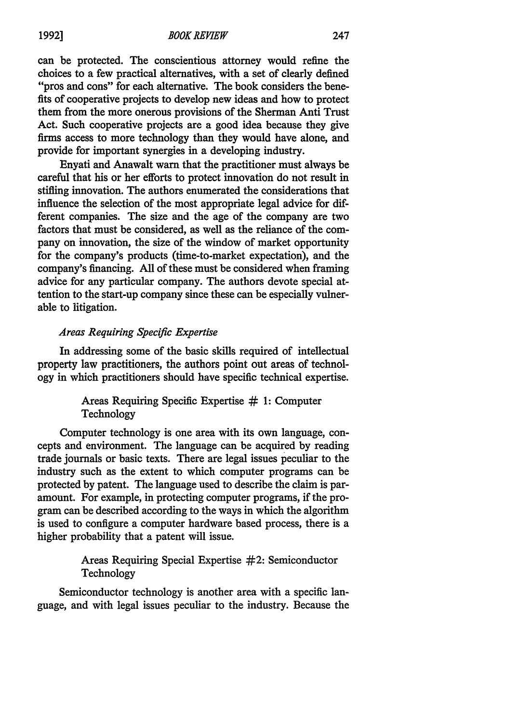can be protected. The conscientious attorney would refine the choices to a few practical alternatives, with a set of clearly defined "pros and cons" for each alternative. The book considers the benefits of cooperative projects to develop new ideas and how to protect them from the more onerous provisions of the Sherman Anti Trust Act. Such cooperative projects are a good idea because they give firms access to more technology than they would have alone, and provide for important synergies in a developing industry.

Enyati and Anawalt warn that the practitioner must always be careful that his or her efforts to protect innovation do not result in stifling innovation. The authors enumerated the considerations that influence the selection of the most appropriate legal advice for different companies. The size and the age of the company are two factors that must be considered, as well as the reliance of the company on innovation, the size of the window of market opportunity for the company's products (time-to-market expectation), and the company's financing. All of these must be considered when framing advice for any particular company. The authors devote special attention to the start-up company since these can be especially vulnerable to litigation.

# *Areas Requiring Specific Expertise*

In addressing some of the basic skills required of intellectual property law practitioners, the authors point out areas of technology in which practitioners should have specific technical expertise.

# Areas Requiring Specific Expertise **# 1:** Computer Technology

Computer technology is one area with its own language, concepts and environment. The language can be acquired by reading trade journals or basic texts. There are legal issues peculiar to the industry such as the extent to which computer programs can be protected by patent. The language used to describe the claim is paramount. For example, in protecting computer programs, if the program can be described according to the ways in which the algorithm is used to configure a computer hardware based process, there is a higher probability that a patent will issue.

# Areas Requiring Special Expertise #2: Semiconductor **Technology**

Semiconductor technology is another area with a specific language, and with legal issues peculiar to the industry. Because the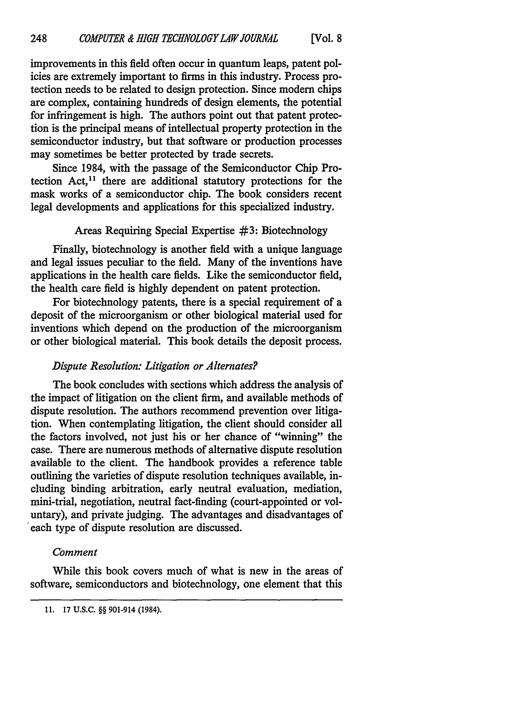improvements in this field often occur in quantum leaps, patent policies are extremely important to firms in this industry. Process protection needs to be related to design protection. Since modem chips are complex, containing hundreds of design elements, the potential for infringement is high. The authors point out that patent protection is the principal means of intellectual property protection in the semiconductor industry, but that software or production processes may sometimes be better protected by trade secrets.

Since 1984, with the passage of the Semiconductor Chip Protection  $Act<sub>11</sub>$  there are additional statutory protections for the mask works of a semiconductor chip. The book considers recent legal developments and applications for this specialized industry.

## Areas Requiring Special Expertise **#3:** Biotechnology

Finally, biotechnology is another field with a unique language and legal issues peculiar to the field. Many of the inventions have applications in the health care fields. Like the semiconductor field, the health care field is highly dependent on patent protection.

For biotechnology patents, there is a special requirement of a deposit of the microorganism or other biological material used for inventions which depend on the production of the microorganism or other biological material. This book details the deposit process.

#### *Dispute Resolution: Litigation or Alternates?*

The book concludes with sections which address the analysis of the impact of litigation on the client firm, and available methods of dispute resolution. The authors recommend prevention over litigation. When contemplating litigation, the client should consider all the factors involved, not just his or her chance of "winning" the case. There are numerous methods of alternative dispute resolution available to the client. The handbook provides a reference table outlining the varieties of dispute resolution techniques available, including binding arbitration, early neutral evaluation, mediation, mini-trial, negotiation, neutral fact-finding (court-appointed or voluntary), and private judging. The advantages and disadvantages of each type of dispute resolution are discussed.

#### *Comment*

While this book covers much of what is new in the areas of software, semiconductors and biotechnology, one element that this

**<sup>11. 17</sup> U.S.C.** §§ 901-914 (1984).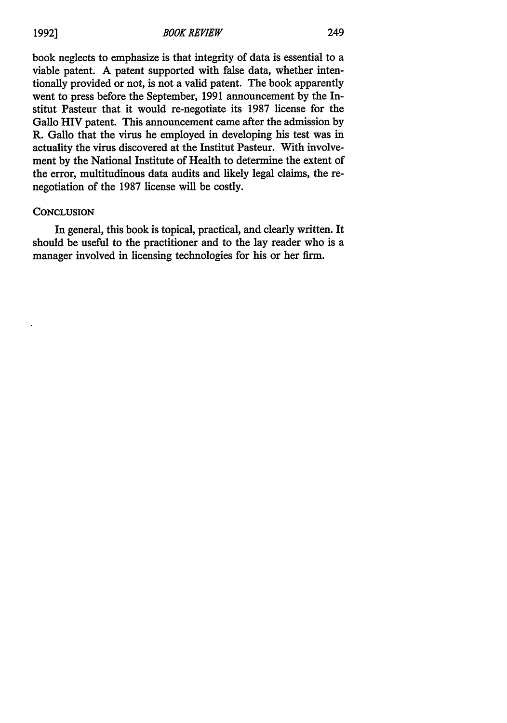book neglects to emphasize is that integrity of data is essential to a viable patent. A patent supported with false data, whether intentionally provided or not, is not a valid patent. The book apparently went to press before the September, 1991 announcement by the Institut Pasteur that it would re-negotiate its 1987 license for the Gallo HIV patent. This announcement came after the admission by R. Gallo that the virus he employed in developing his test was in actuality the virus discovered at the Institut Pasteur. With involvement by the National Institute of Health to determine the extent of the error, multitudinous data audits and likely legal claims, the renegotiation of the 1987 license will be costly.

# **CONCLUSION**

In general, this book is topical, practical, and clearly written. It should be useful to the practitioner and to the lay reader who is a manager involved in licensing technologies for his or her firm.